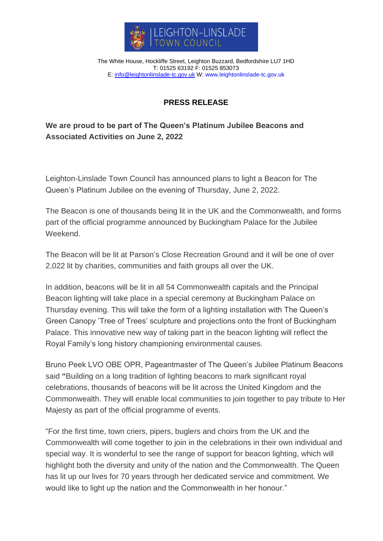

The White House, Hockliffe Street, Leighton Buzzard, Bedfordshire LU7 1HD T: 01525 63192 F: 01525 853073 E: [info@leightonlinslade-tc.gov.uk](mailto:bookings@leightonlinslade-tc.gov.uk) W: [www.leightonlinslade-tc.gov.uk](http://www.leightonlinslade-tc.gov.uk/)

## **PRESS RELEASE**

## **We are proud to be part of The Queen's Platinum Jubilee Beacons and Associated Activities on June 2, 2022**

Leighton-Linslade Town Council has announced plans to light a Beacon for The Queen's Platinum Jubilee on the evening of Thursday, June 2, 2022.

The Beacon is one of thousands being lit in the UK and the Commonwealth, and forms part of the official programme announced by Buckingham Palace for the Jubilee Weekend.

The Beacon will be lit at Parson's Close Recreation Ground and it will be one of over 2,022 lit by charities, communities and faith groups all over the UK.

In addition, beacons will be lit in all 54 Commonwealth capitals and the Principal Beacon lighting will take place in a special ceremony at Buckingham Palace on Thursday evening. This will take the form of a lighting installation with The Queen's Green Canopy 'Tree of Trees' sculpture and projections onto the front of Buckingham Palace. This innovative new way of taking part in the beacon lighting will reflect the Royal Family's long history championing environmental causes.

Bruno Peek LVO OBE OPR, Pageantmaster of The Queen's Jubilee Platinum Beacons said **"**Building on a long tradition of lighting beacons to mark significant royal celebrations, thousands of beacons will be lit across the United Kingdom and the Commonwealth. They will enable local communities to join together to pay tribute to Her Majesty as part of the official programme of events.

"For the first time, town criers, pipers, buglers and choirs from the UK and the Commonwealth will come together to join in the celebrations in their own individual and special way. It is wonderful to see the range of support for beacon lighting, which will highlight both the diversity and unity of the nation and the Commonwealth. The Queen has lit up our lives for 70 years through her dedicated service and commitment. We would like to light up the nation and the Commonwealth in her honour."